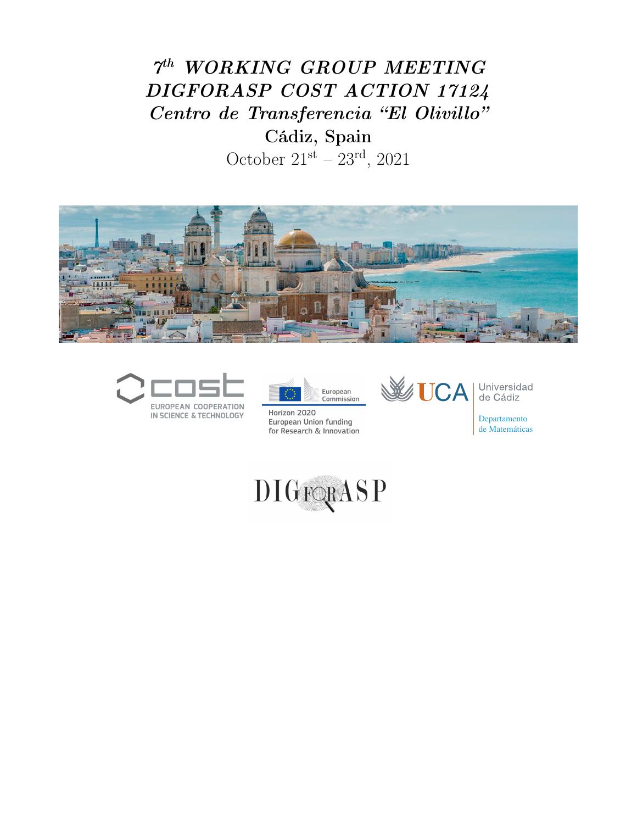## $7<sup>th</sup>$  WORKING GROUP MEETING DIGFORASP COST ACTION 17124 Centro de Transferencia "El Olivillo" Cádiz, Spain

October  $21^{st} - 23^{rd}$ , 2021







Horizon 2020 European Union funding for Research & Innovation



Universidad<br>de Cádiz

Departamento de Matemáticas

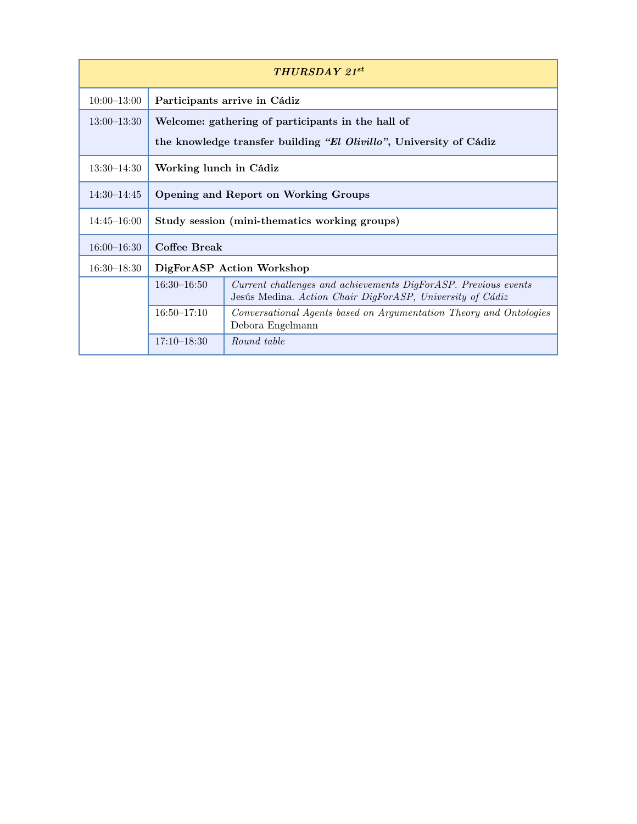| <b>THURSDAY 21st</b> |                                                                    |                                                                                                                             |  |  |
|----------------------|--------------------------------------------------------------------|-----------------------------------------------------------------------------------------------------------------------------|--|--|
| $10:00-13:00$        | Participants arrive in Cádiz                                       |                                                                                                                             |  |  |
| $13:00 - 13:30$      | Welcome: gathering of participants in the hall of                  |                                                                                                                             |  |  |
|                      | the knowledge transfer building "El Olivillo", University of Cádiz |                                                                                                                             |  |  |
| $13:30-14:30$        | Working lunch in Cádiz                                             |                                                                                                                             |  |  |
| $14:30-14:45$        | Opening and Report on Working Groups                               |                                                                                                                             |  |  |
| $14:45 - 16:00$      | Study session (mini-thematics working groups)                      |                                                                                                                             |  |  |
| $16:00 - 16:30$      | Coffee Break                                                       |                                                                                                                             |  |  |
| $16:30-18:30$        | DigForASP Action Workshop                                          |                                                                                                                             |  |  |
|                      | $16:30 - 16:50$                                                    | Current challenges and achievements DigForASP. Previous events<br>Jesús Medina. Action Chair DigForASP, University of Cádiz |  |  |
|                      | $16:50 - 17:10$                                                    | Conversational Agents based on Argumentation Theory and Ontologies<br>Debora Engelmann                                      |  |  |
|                      | $17:10 - 18:30$                                                    | Round table                                                                                                                 |  |  |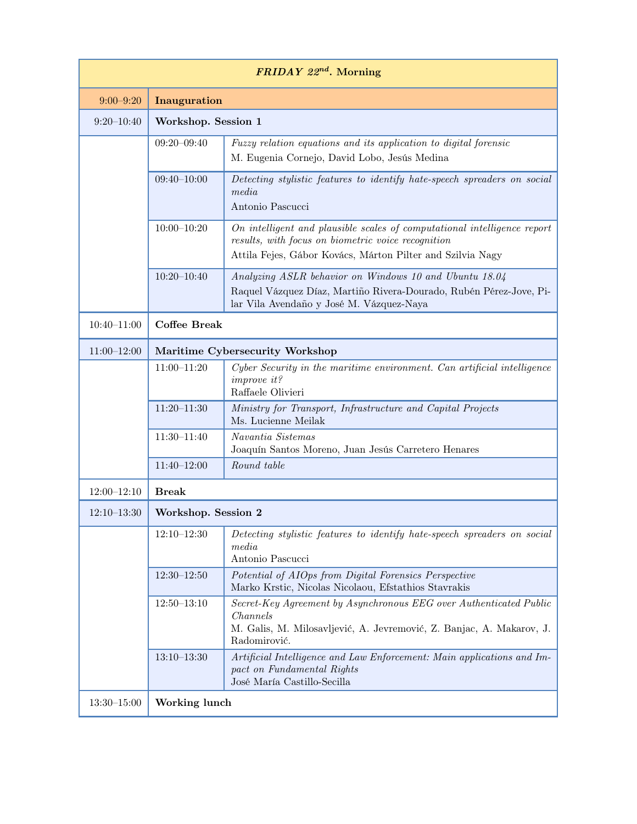| $FRIDAY$ 22 <sup>nd</sup> . Morning |                                 |                                                                                                                                                                                              |  |  |
|-------------------------------------|---------------------------------|----------------------------------------------------------------------------------------------------------------------------------------------------------------------------------------------|--|--|
| $9:00 - 9:20$                       | Inauguration                    |                                                                                                                                                                                              |  |  |
| $9:20 - 10:40$                      | Workshop. Session 1             |                                                                                                                                                                                              |  |  |
|                                     | $09:20 - 09:40$                 | Fuzzy relation equations and its application to digital forensic<br>M. Eugenia Cornejo, David Lobo, Jesús Medina                                                                             |  |  |
|                                     | $09:40 - 10:00$                 | Detecting stylistic features to identify hate-speech spreaders on social<br>media<br>Antonio Pascucci                                                                                        |  |  |
|                                     | $10:00-10:20$                   | On intelligent and plausible scales of computational intelligence report<br>results, with focus on biometric voice recognition<br>Attila Fejes, Gábor Kovács, Márton Pilter and Szilvia Nagy |  |  |
|                                     | $10:20 - 10:40$                 | Analyzing ASLR behavior on Windows 10 and Ubuntu 18.04<br>Raquel Vázquez Díaz, Martiño Rivera-Dourado, Rubén Pérez-Jove, Pi-<br>lar Vila Avendaño y José M. Vázquez-Naya                     |  |  |
| $10:40 - 11:00$                     | <b>Coffee Break</b>             |                                                                                                                                                                                              |  |  |
| $11:00-12:00$                       | Maritime Cybersecurity Workshop |                                                                                                                                                                                              |  |  |
|                                     | $11:00 - 11:20$                 | Cyber Security in the maritime environment. Can artificial intelligence<br><i>improve</i> it?<br>Raffaele Olivieri                                                                           |  |  |
|                                     | $11:20 - 11:30$                 | Ministry for Transport, Infrastructure and Capital Projects<br>Ms. Lucienne Meilak                                                                                                           |  |  |
|                                     | $11:30 - 11:40$                 | Navantia Sistemas<br>Joaquín Santos Moreno, Juan Jesús Carretero Henares                                                                                                                     |  |  |
|                                     | $11:40 - 12:00$                 | Round table                                                                                                                                                                                  |  |  |
| $12:00 - 12:10$                     | <b>Break</b>                    |                                                                                                                                                                                              |  |  |
| $12:10-13:30$                       | Workshop. Session 2             |                                                                                                                                                                                              |  |  |
|                                     | $12:10 - 12:30$                 | Detecting stylistic features to identify hate-speech spreaders on social<br>media<br>Antonio Pascucci                                                                                        |  |  |
|                                     | $12:30 - 12:50$                 | Potential of AIOps from Digital Forensics Perspective<br>Marko Krstic, Nicolas Nicolaou, Efstathios Stavrakis                                                                                |  |  |
|                                     | $12:50 - 13:10$                 | Secret-Key Agreement by Asynchronous EEG over Authenticated Public<br>Channels<br>M. Galis, M. Milosavljević, A. Jevremović, Z. Banjac, A. Makarov, J.<br>Radomirović.                       |  |  |
|                                     | $13:10 - 13:30$                 | Artificial Intelligence and Law Enforcement: Main applications and Im-<br>pact on Fundamental Rights<br>José María Castillo-Secilla                                                          |  |  |
| $13:30 - 15:00$                     | Working lunch                   |                                                                                                                                                                                              |  |  |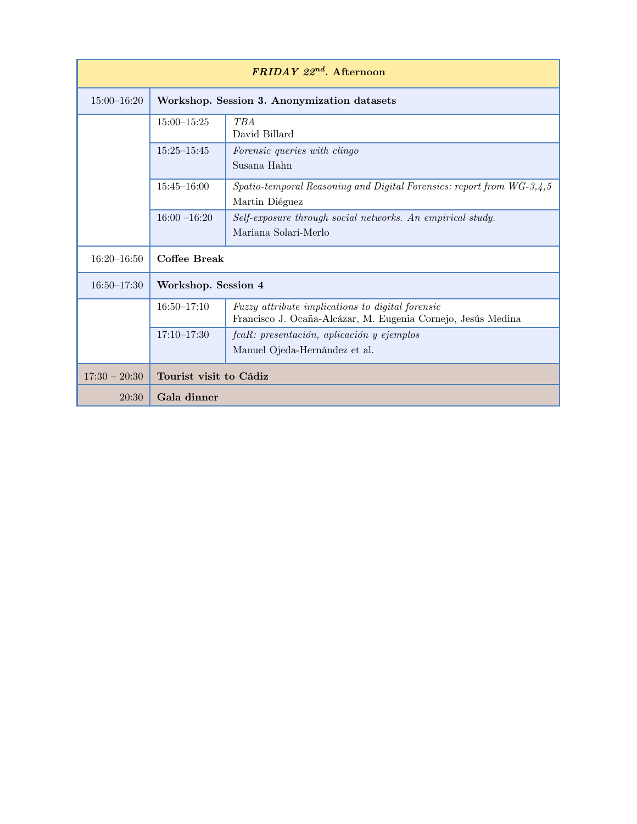| $FRIDAY$ 22 <sup>nd</sup> . Afternoon |                                             |                                                                                                                  |  |  |
|---------------------------------------|---------------------------------------------|------------------------------------------------------------------------------------------------------------------|--|--|
| $15:00 - 16:20$                       | Workshop. Session 3. Anonymization datasets |                                                                                                                  |  |  |
|                                       | $15:00 - 15:25$                             | <b>TBA</b><br>David Billard                                                                                      |  |  |
|                                       | $15:25 - 15:45$                             | Forensic queries with clingo<br>Susana Hahn                                                                      |  |  |
|                                       | $15:45 - 16:00$                             | $Spatio-temporal Reasoning$ and Digital Forensics: report from $WG-3,4,5$<br>Martin Diéguez                      |  |  |
|                                       | $16:00 - 16:20$                             | Self-exposure through social networks. An empirical study.<br>Mariana Solari-Merlo                               |  |  |
| $16:20 - 16:50$                       | Coffee Break                                |                                                                                                                  |  |  |
| $16:50 - 17:30$                       | Workshop. Session 4                         |                                                                                                                  |  |  |
|                                       | $16:50 - 17:10$                             | Fuzzy attribute implications to digital forensic<br>Francisco J. Ocaña-Alcázar, M. Eugenia Cornejo, Jesús Medina |  |  |
|                                       | $17:10 - 17:30$                             | fcaR: presentación, aplicación y ejemplos<br>Manuel Ojeda-Hernández et al.                                       |  |  |
| $17:30 - 20:30$                       | Tourist visit to Cádiz                      |                                                                                                                  |  |  |
| 20:30                                 | Gala dinner                                 |                                                                                                                  |  |  |